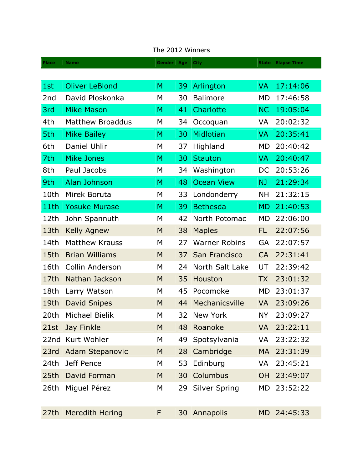| <b>Place</b>    | <b>Name</b>             | Gender   Age   City |                 |                      | <b>State</b> | <b>Elapse Time</b> |
|-----------------|-------------------------|---------------------|-----------------|----------------------|--------------|--------------------|
|                 |                         |                     |                 |                      |              |                    |
| 1st             | <b>Oliver LeBlond</b>   | M                   | 39              | Arlington            | <b>VA</b>    | 17:14:06           |
| 2 <sub>nd</sub> | David Ploskonka         | M                   | 30              | <b>Balimore</b>      | <b>MD</b>    | 17:46:58           |
| 3rd             | <b>Mike Mason</b>       | M                   | 41              | Charlotte            | <b>NC</b>    | 19:05:04           |
| 4th             | <b>Matthew Broaddus</b> | M                   | 34              | Occoquan             | VA           | 20:02:32           |
| 5th             | <b>Mike Bailey</b>      | M                   | 30              | Midlotian            | <b>VA</b>    | 20:35:41           |
| 6th             | Daniel Uhlir            | M                   | 37              | Highland             | <b>MD</b>    | 20:40:42           |
| 7th             | <b>Mike Jones</b>       | M                   | 30              | <b>Stauton</b>       | <b>VA</b>    | 20:40:47           |
| 8th             | Paul Jacobs             | M                   | 34              | Washington           | DC           | 20:53:26           |
| 9th             | Alan Johnson            | M                   | 48              | <b>Ocean View</b>    | <b>NJ</b>    | 21:29:34           |
| 10th            | Mirek Boruta            | M                   | 33              | Londonderry          | <b>NH</b>    | 21:32:15           |
| 11th            | <b>Yosuke Murase</b>    | M                   | 39              | <b>Bethesda</b>      | <b>MD</b>    | 21:40:53           |
| 12th            | John Spannuth           | M                   | 42              | North Potomac        | <b>MD</b>    | 22:06:00           |
| 13th            | <b>Kelly Agnew</b>      | M                   | 38              | <b>Maples</b>        | <b>FL</b>    | 22:07:56           |
| 14th            | <b>Matthew Krauss</b>   | M                   | 27              | <b>Warner Robins</b> | GA           | 22:07:57           |
| 15th            | <b>Brian Williams</b>   | M                   | 37              | San Francisco        | <b>CA</b>    | 22:31:41           |
| 16th            | Collin Anderson         | M                   | 24              | North Salt Lake      | UT           | 22:39:42           |
| 17th            | Nathan Jackson          | M                   | 35              | Houston              | <b>TX</b>    | 23:01:32           |
| 18th            | Larry Watson            | M                   | 45              | Pocomoke             | <b>MD</b>    | 23:01:37           |
| 19th            | <b>David Snipes</b>     | M                   | 44              | Mechanicsville       | <b>VA</b>    | 23:09:26           |
| 20th            | Michael Bielik          | M                   | 32              | New York             | <b>NY</b>    | 23:09:27           |
| 21st            | Jay Finkle              | M                   | 48              | Roanoke              | <b>VA</b>    | 23:22:11           |
| 22nd            | Kurt Wohler             | M                   | 49              | Spotsylvania         | VA           | 23:22:32           |
| 23rd            | Adam Stepanovic         | M                   | 28              | Cambridge            | <b>MA</b>    | 23:31:39           |
| 24th            | Jeff Pence              | M                   | 53              | Edinburg             | <b>VA</b>    | 23:45:21           |
| 25th            | David Forman            | M                   | 30              | Columbus             | <b>OH</b>    | 23:49:07           |
| 26th            | Miguel Pérez            | M                   | 29              | <b>Silver Spring</b> | MD           | 23:52:22           |
| 27th            | <b>Meredith Hering</b>  | F                   | 30 <sup>°</sup> | Annapolis            | <b>MD</b>    | 24:45:33           |

## The 2012 Winners